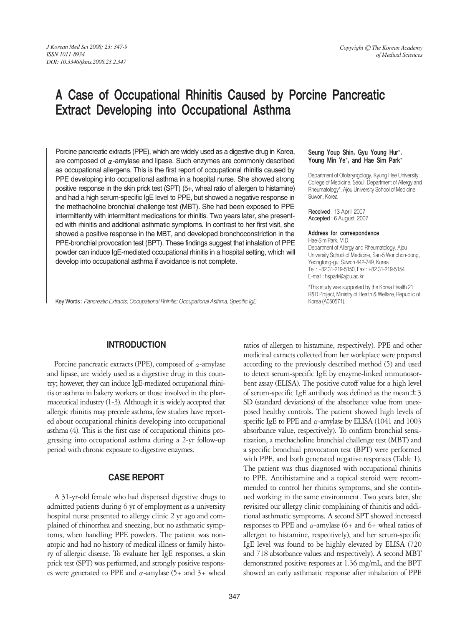# A Case of Occupational Rhinitis Caused by Porcine Pancreatic Extract Developing into Occupational Asthma

Porcine pancreatic extracts (PPE), which are widely used as a digestive drug in Korea, are composed of  $\alpha$ -amylase and lipase. Such enzymes are commonly described as occupational allergens. This is the first report of occupational rhinitis caused by PPE developing into occupational asthma in a hospital nurse. She showed strong positive response in the skin prick test (SPT) (5+, wheal ratio of allergen to histamine) and had a high serum-specific IgE level to PPE, but showed a negative response in the methacholine bronchial challenge test (MBT). She had been exposed to PPE intermittently with intermittent medications for rhinitis. Two years later, she presented with rhinitis and additional asthmatic symptoms. In contrast to her first visit, she showed a positive response in the MBT, and developed bronchoconstriction in the PPE-bronchial provocation test (BPT). These findings suggest that inhalation of PPE powder can induce IgE-mediated occupational rhinitis in a hospital setting, which will develop into occupational asthma if avoidance is not complete.

Key Words : *Pancreatic Extracts; Occupational Rhinitis; Occupational Asthma, Specific IgE*

#### Seung Youp Shin, Gyu Young Hur\*, Young Min Ye\*, and Hae Sim Park\*

Department of Otolaryngology, Kyung Hee University College of Medicine, Seoul; Department of Allergy and Rheumatology\*, Ajou University School of Medicine, Suwon, Korea

Received : 13 April 2007 Accepted : 6 August 2007

#### Address for correspondence

Hae-Sim Park, M.D. Department of Allergy and Rheumatology, Ajou University School of Medicine, San-5 Wonchon-dong, Yeongtong-gu, Suwon 442-749, Korea Tel : +82.31-219-5150, Fax : +82.31-219-5154 E-mail : hspark@ajou.ac.kr

\*This study was supported by the Korea Health 21 R&D Project, Ministry of Health & Welfare, Republic of Korea (A050571).

# **INTRODUCTION**

Porcine pancreatic extracts (PPE), composed of  $\alpha$ -amylase and lipase, are widely used as a digestive drug in this country; however, they can induce IgE-mediated occupational rhinitis or asthma in bakery workers or those involved in the pharmaceutical industry (1-3). Although it is widely accepted that allergic rhinitis may precede asthma, few studies have reported about occupational rhinitis developing into occupational asthma (4). This is the first case of occupational rhinitis progressing into occupational asthma during a 2-yr follow-up period with chronic exposure to digestive enzymes.

### **CASE REPORT**

A 31-yr-old female who had dispensed digestive drugs to admitted patients during 6 yr of employment as a university hospital nurse presented to allergy clinic 2 yr ago and complained of rhinorrhea and sneezing, but no asthmatic symptoms, when handling PPE powders. The patient was nonatopic and had no history of medical illness or family history of allergic disease. To evaluate her IgE responses, a skin prick test (SPT) was performed, and strongly positive responses were generated to PPE and  $\alpha$ -amylase (5+ and 3+ wheal

347

ratios of allergen to histamine, respectively). PPE and other medicinal extracts collected from her workplace were prepared according to the previously described method (5) and used to detect serum-specific IgE by enzyme-linked immunosorbent assay (ELISA). The positive cutoff value for a high level of serum-specific IgE antibody was defined as the mean  $\pm 3$ SD (standard deviations) of the absorbance value from unexposed healthy controls. The patient showed high levels of specific IgE to PPE and  $\alpha$ -amylase by ELISA (1041 and 1003) absorbance value, respectively). To confirm bronchial sensitization, a methacholine bronchial challenge test (MBT) and a specific bronchial provocation test (BPT) were performed with PPE, and both generated negative responses (Table 1). The patient was thus diagnosed with occupational rhinitis to PPE. Antihistamine and a topical steroid were recommended to control her rhinitis symptoms, and she continued working in the same environment. Two years later, she revisited our allergy clinic complaining of rhinitis and additional asthmatic symptoms. A second SPT showed increased responses to PPE and  $\alpha$ -amylase (6+ and 6+ wheal ratios of allergen to histamine, respectively), and her serum-specific IgE level was found to be highly elevated by ELISA (720 and 718 absorbance values and respectively). A second MBT demonstrated positive responses at 1.36 mg/mL, and the BPT showed an early asthmatic response after inhalation of PPE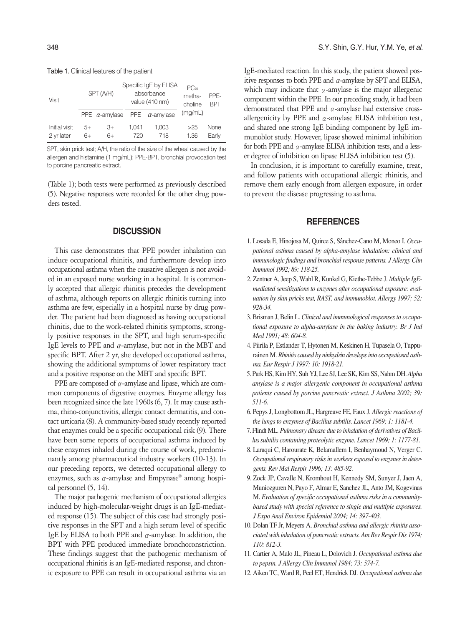Table 1. Clinical features of the patient

| Visit                       | SPT (A/H)  |                       | Specific IgE by ELISA<br>absorbance<br>value (410 nm) |                       | $PC_{20}$<br>metha-<br>choline | PPF-<br><b>BPT</b> |
|-----------------------------|------------|-----------------------|-------------------------------------------------------|-----------------------|--------------------------------|--------------------|
|                             |            | PPE $\alpha$ -amylase |                                                       | PPE $\alpha$ -amylase | (mg/mL)                        |                    |
| Initial visit<br>2 yr later | $5+$<br>6+ | 3+<br>6+              | 1.041<br>720                                          | 1,003<br>718          | >25<br>1.36                    | None<br>Early      |

SPT, skin prick test; A/H, the ratio of the size of the wheal caused by the allergen and histamine (1 mg/mL); PPE-BPT, bronchial provocation test to porcine pancreatic extract.

(Table 1); both tests were performed as previously described (5). Negative responses were recorded for the other drug powders tested.

#### **DISCUSSION**

This case demonstrates that PPE powder inhalation can induce occupational rhinitis, and furthermore develop into occupational asthma when the causative allergen is not avoided in an exposed nurse working in a hospital. It is commonly accepted that allergic rhinitis precedes the development of asthma, although reports on allergic rhinitis turning into asthma are few, especially in a hospital nurse by drug powder. The patient had been diagnosed as having occupational rhinitis, due to the work-related rhinitis symptoms, strongly positive responses in the SPT, and high serum-specific IgE levels to PPE and  $\alpha$ -amylase, but not in the MBT and specific BPT. After 2 yr, she developed occupational asthma, showing the additional symptoms of lower respiratory tract and a positive response on the MBT and specific BPT.

PPE are composed of  $\alpha$ -amylase and lipase, which are common components of digestive enzymes. Enzyme allergy has been recognized since the late 1960s (6, 7). It may cause asthma, rhino-conjunctivitis, allergic contact dermatitis, and contact urticaria (8). A community-based study recently reported that enzymes could be a specific occupational risk (9). There have been some reports of occupational asthma induced by these enzymes inhaled during the course of work, predominantly among pharmaceutical industry workers (10-13). In our preceding reports, we detected occupational allergy to enzymes, such as  $\alpha$ -amylase and Empynase® among hospital personnel (5, 14).

The major pathogenic mechanism of occupational allergies induced by high-molecular-weight drugs is an IgE-mediated response (15). The subject of this case had strongly positive responses in the SPT and a high serum level of specific IgE by ELISA to both PPE and  $\alpha$ -amylase. In addition, the BPT with PPE produced immediate bronchoconstriction. These findings suggest that the pathogenic mechanism of occupational rhinitis is an IgE-mediated response, and chronic exposure to PPE can result in occupational asthma via an IgE-mediated reaction. In this study, the patient showed positive responses to both PPE and  $\alpha$ -amylase by SPT and ELISA, which may indicate that  $\alpha$ -amylase is the major allergenic component within the PPE. In our preceding study, it had been demonstrated that PPE and  $\alpha$ -amylase had extensive crossallergenicity by PPE and  $\alpha$ -amylase ELISA inhibition test, and shared one strong IgE binding component by IgE immunoblot study. However, lipase showed minimal inhibition for both PPE and  $\alpha$ -amylase ELISA inhibition tests, and a lesser degree of inhibition on lipase ELISA inhibition test (5).

In conclusion, it is important to carefully examine, treat, and follow patients with occupational allergic rhinitis, and remove them early enough from allergen exposure, in order to prevent the disease progressing to asthma.

## **REFERENCES**

- 1. Losada E, Hinojosa M, Quirce S, Sanchez-Cano M, Moneo I. *Occupational asthma caused by alpha-amylase inhalation: clinical and immunologic findings and bronchial response patterns. J Allergy Clin Immunol 1992; 89: 118-25.*
- 2. Zentner A, Jeep S, Wahl R, Kunkel G, Kiethe-Tebbe J. *Multiple IgEmediated sensitizations to enzymes after occupational exposure: evaluation by skin pricks test, RAST, and immunoblot. Allergy 1997; 52: 928-34.*
- 3. Brisman J, Belin L. *Clinical and immunological responses to occupational exposure to alpha-amylase in the baking industry. Br J Ind Med 1991; 48: 604-8.*
- 4. Piirila P, Estlander T, Hytonen M, Keskinen H, Tupasela O, Tuppurainen M. *Rhinitis caused by ninhydrin develops into occupational asthma. Eur Respir J 1997; 10: 1918-21.*
- 5. Park HS, Kim HY, Suh YJ, Lee SJ, Lee SK, Kim SS, Nahm DH. *Alpha amylase is a major allergenic component in occupational asthma patients caused by porcine pancreatic extract. J Asthma 2002; 39: 511-6.*
- 6. Pepys J, Longbottom JL, Hargreave FE, Faux J. *Allergic reactions of the lungs to enzymes of Bacillus subtilis. Lancet 1969; 1: 1181-4.*
- 7. Flindt ML. *Pulmonary disease due to inhalation of derivatives of Bacillus subtilis containing proteolytic enzyme. Lancet 1969; 1: 1177-81.*
- 8. Laraqui C, Harourate K, Belamallem I, Benhaymoud N, Verger C. *Occupational respiratory risks in workers exposed to enzymes in detergents. Rev Mal Respir 1996; 13: 485-92.*
- 9. Zock JP, Cavalle N, Kromhout H, Kennedy SM, Sunyer J, Jaen A, Muniozguren N, Payo F, Almar E, Sanchez JL, Anto JM, Kogevinas M. *Evaluation of specific occupational asthma risks in a communitybased study with special reference to single and multiple exposures. J Expo Anal Environ Epidemiol 2004; 14: 397-403.*
- 10. Dolan TF Jr, Meyers A. *Bronchial asthma and allergic rhinitis associated with inhalation of pancreatic extracts. Am Rev Respir Dis 1974; 110: 812-3.*
- 11. Cartier A, Malo JL, Pineau L, Dolovich J. *Occupational asthma due to pepsin. J Allergy Clin Immunol 1984; 73: 574-7.*
- 12. Aiken TC, Ward R, Peel ET, Hendrick DJ. *Occupational asthma due*